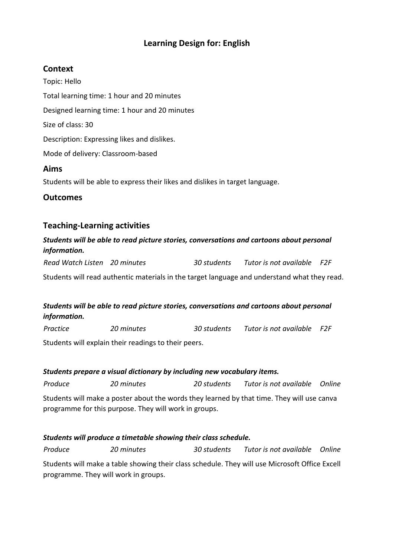### **Learning Design for: English**

#### **Context**

Topic: Hello Total learning time: 1 hour and 20 minutes Designed learning time: 1 hour and 20 minutes Size of class: 30 Description: Expressing likes and dislikes. Mode of delivery: Classroom-based **Aims** Students will be able to express their likes and dislikes in target language.

**Outcomes**

#### **Teaching-Learning activities**

#### *Students will be able to read picture stories, conversations and cartoons about personal information.*

*Read Watch Listen 20 minutes 30 students Tutor is not available F2F*

Students will read authentic materials in the target language and understand what they read.

#### *Students will be able to read picture stories, conversations and cartoons about personal information.*

*Practice 20 minutes 30 students Tutor is not available F2F*

Students will explain their readings to their peers.

## *Students prepare a visual dictionary by including new vocabulary items. Produce 20 minutes 20 students Tutor is not available Online*

Students will make a poster about the words they learned by that time. They will use canva programme for this purpose. They will work in groups.

#### *Students will produce a timetable showing their class schedule.*

*Produce 20 minutes 30 students Tutor is not available Online* Students will make a table showing their class schedule. They will use Microsoft Office Excell programme. They will work in groups.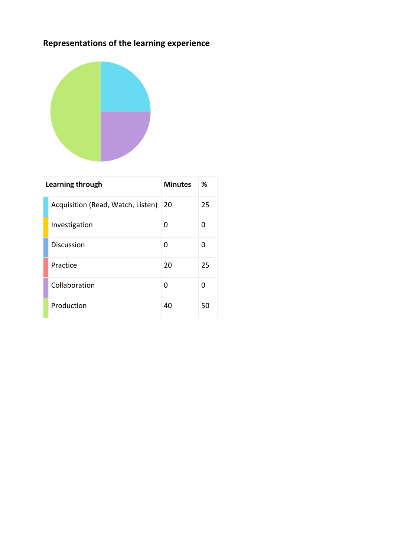# **Representations of the learning experience**



| Learning through |                                   | <b>Minutes</b> | ℅  |
|------------------|-----------------------------------|----------------|----|
|                  | Acquisition (Read, Watch, Listen) | 20             | 25 |
|                  | Investigation                     | O              | O  |
|                  | <b>Discussion</b>                 | O              | 0  |
|                  | Practice                          | 20             | 25 |
|                  | Collaboration                     | O              | O  |
|                  | Production                        | 40             | 50 |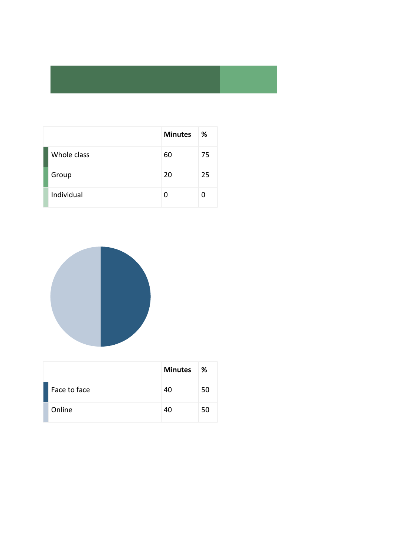|             | <b>Minutes</b> | ℅  |
|-------------|----------------|----|
| Whole class | 60             | 75 |
| Group       | 20             | 25 |
| Individual  |                |    |



|              | <b>Minutes</b> | ℅  |
|--------------|----------------|----|
| Face to face | 40             | 50 |
| Online       | 40             | 50 |